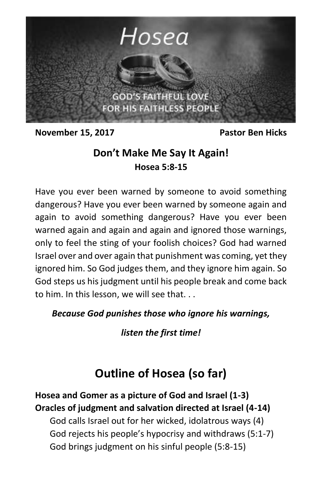

**November 15, 2017** Pastor Ben Hicks

## **Don't Make Me Say It Again! Hosea 5:8-15**

Have you ever been warned by someone to avoid something dangerous? Have you ever been warned by someone again and again to avoid something dangerous? Have you ever been warned again and again and again and ignored those warnings, only to feel the sting of your foolish choices? God had warned Israel over and over again that punishment was coming, yet they ignored him. So God judges them, and they ignore him again. So God steps us his judgment until his people break and come back to him. In this lesson, we will see that. . .

*Because God punishes those who ignore his warnings,*

*listen the first time!*

# **Outline of Hosea (so far)**

**Hosea and Gomer as a picture of God and Israel (1-3) Oracles of judgment and salvation directed at Israel (4-14)** God calls Israel out for her wicked, idolatrous ways (4) God rejects his people's hypocrisy and withdraws (5:1-7)

God brings judgment on his sinful people (5:8-15)